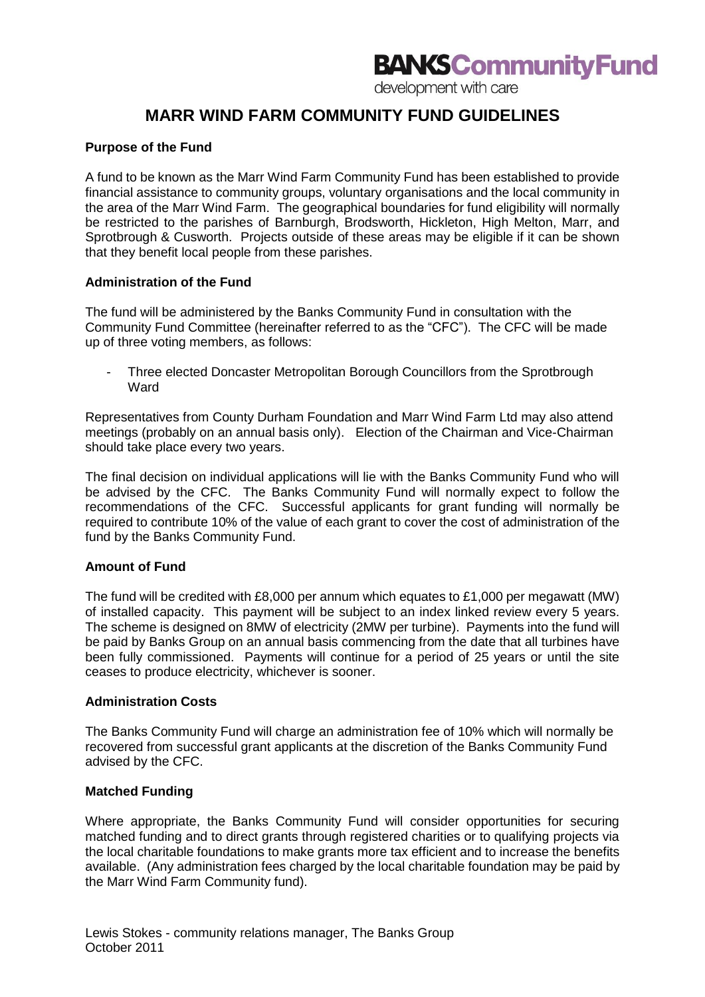development with care

# **MARR WIND FARM COMMUNITY FUND GUIDELINES**

#### **Purpose of the Fund**

A fund to be known as the Marr Wind Farm Community Fund has been established to provide financial assistance to community groups, voluntary organisations and the local community in the area of the Marr Wind Farm. The geographical boundaries for fund eligibility will normally be restricted to the parishes of Barnburgh, Brodsworth, Hickleton, High Melton, Marr, and Sprotbrough & Cusworth. Projects outside of these areas may be eligible if it can be shown that they benefit local people from these parishes.

#### **Administration of the Fund**

The fund will be administered by the Banks Community Fund in consultation with the Community Fund Committee (hereinafter referred to as the "CFC"). The CFC will be made up of three voting members, as follows:

- Three elected Doncaster Metropolitan Borough Councillors from the Sprotbrough **Ward** 

Representatives from County Durham Foundation and Marr Wind Farm Ltd may also attend meetings (probably on an annual basis only). Election of the Chairman and Vice-Chairman should take place every two years.

The final decision on individual applications will lie with the Banks Community Fund who will be advised by the CFC. The Banks Community Fund will normally expect to follow the recommendations of the CFC. Successful applicants for grant funding will normally be required to contribute 10% of the value of each grant to cover the cost of administration of the fund by the Banks Community Fund.

#### **Amount of Fund**

The fund will be credited with £8,000 per annum which equates to £1,000 per megawatt (MW) of installed capacity. This payment will be subject to an index linked review every 5 years. The scheme is designed on 8MW of electricity (2MW per turbine). Payments into the fund will be paid by Banks Group on an annual basis commencing from the date that all turbines have been fully commissioned. Payments will continue for a period of 25 years or until the site ceases to produce electricity, whichever is sooner.

#### **Administration Costs**

The Banks Community Fund will charge an administration fee of 10% which will normally be recovered from successful grant applicants at the discretion of the Banks Community Fund advised by the CFC.

#### **Matched Funding**

Where appropriate, the Banks Community Fund will consider opportunities for securing matched funding and to direct grants through registered charities or to qualifying projects via the local charitable foundations to make grants more tax efficient and to increase the benefits available. (Any administration fees charged by the local charitable foundation may be paid by the Marr Wind Farm Community fund).